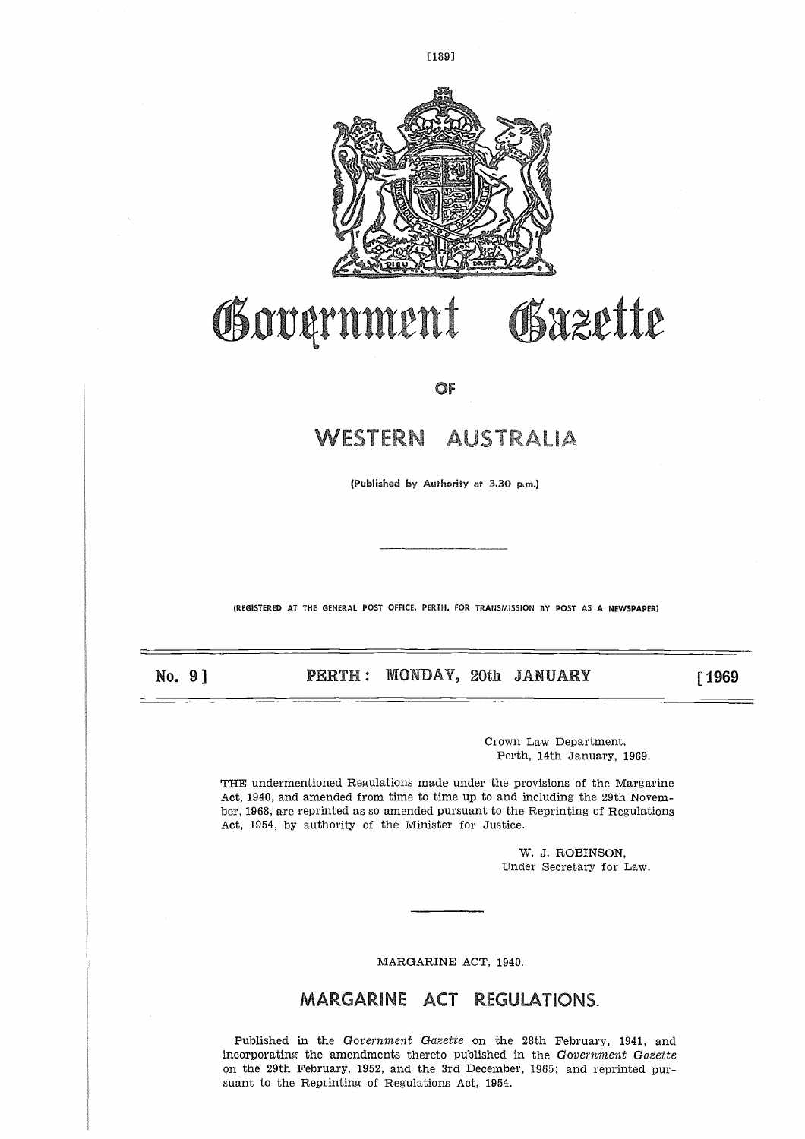

L189]

# GSxzette Government

OF

# **WESTERN** AUSTRALIA

**(Published by Authority at 3.30 p.m.)**

(REGISTERED AT THE GENERAL POST OFFICE, PERTH, FOR TRANSMISSION BY POST AS A NEWSPAPER)

No. 9]

**PERTH:** MONDAY, 20th **JANUARY 1969** 

Crown Law Department, Perth, 14th January, 1969.

THE undermentioned Regulations made under the provisions of the Margarine Act, 1940, and amended from time to time up to and including the 29th November, 1968, are reprinted as so amended pursuant to the Reprinting of Regulations Act, 1954, by authority of the Minister for Justice.

> W. J. ROBINSON, Under Secretary for Law.

MARGARINE ACT, 1940.

## MARGARINE ACT REGULATIONS.

Published in the *Government Gazette* on the 28th February, 1941, and incorporating the amendments thereto published in the *Government Gazette* on the 29th February, 1952, and the 3rd December, 1965; and reprinted pursuant to the Reprinting of Regulations Act, 1954.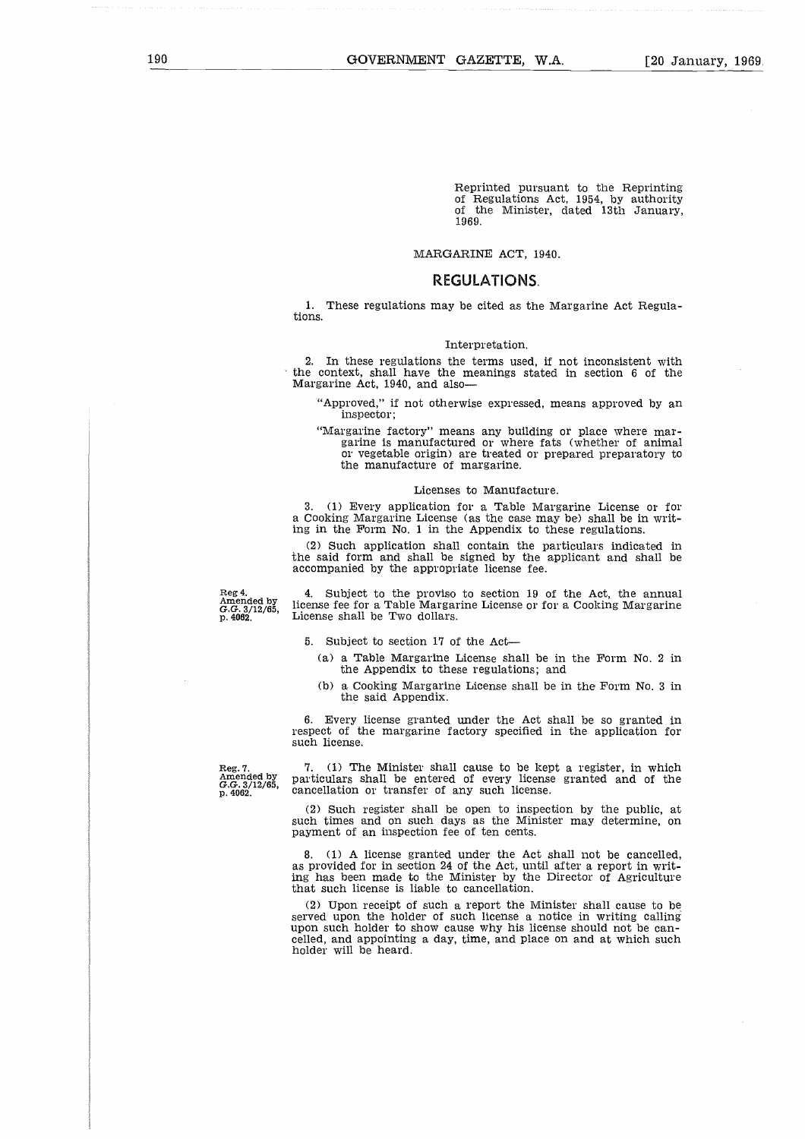Reprinted pursuant to the Reprinting of Regulations Act, 1954, by authority of the Minister, dated 13th January, 1969.

#### MARGARINE ACT, 1940.

## **REGULATIONS.**

1. These regulations may be cited as the Margarine Act Regulations.

#### Interpretation.

2. In these regulations the terms used, if not inconsistent with the context, shall have the meanings stated in section 6 of the Margarine Act, 1940, and also

"Approved," if not otherwise expressed, means approved by an inspector;

"Margarine factory" means any building or place where margarine is manufactured or where fats (whether of animal or vegetable origin) are treated or prepared preparatory to the manufacture of margarine.

#### Licenses to Manufacture.

3. (1) Every application for a Table Margarine License or for a Cooking Margarine License (as the case may be) shall be in writ-ing in the Form No. 1 in the Appendix to these regulations.

(2) Such application shall contain the particulars indicated in the said form and shall be signed by the applicant and shall be accompanied by the appropriate license fee.

Reg 4. Amended by *G.G.* 3/12/65, p. 4082.

4. Subject to the proviso to section 19 of the Act, the annual license fee for a Table Margarine License or for a Cooking Margarine License shall be Two dollars.

- 5. Subject to section 17 of the Act
	- (a) a Table Margarine License shall be in the Form No. 2 in the Appendix to these regulations; and
	- (b) a Cooking Margarine License shall be in the Form No. 3 in the said Appendix.

6. Every license granted under the Act shall be so granted in respect of the margarine factory specified in the application for such license.

Reg. 7. Amended by *G.G.* 3/12/65, p. 4062.

7. (1) The Minister shall cause to be kept a register, in which particulars shall be entered of every license granted and of the cancellation or transfer of any such license.

(2) Such register shall be open to inspection by the public, at such times and on such days as the Minister may determine, on payment of an inspection fee of ten cents.

8. (1) A license granted under the Act shall not be cancelled, as provided for in section 24 of the Act, until after a report in writing has been made to the Minister by the Director of Agriculture that such license is liable to cancellation.

(2) Upon receipt of such a report the Minister shall cause to be served upon the holder of such license a notice in writing calling upon such holder to show cause why his license should not be cancelled, and appointing a day, time, and place on and at which such holder will be heard.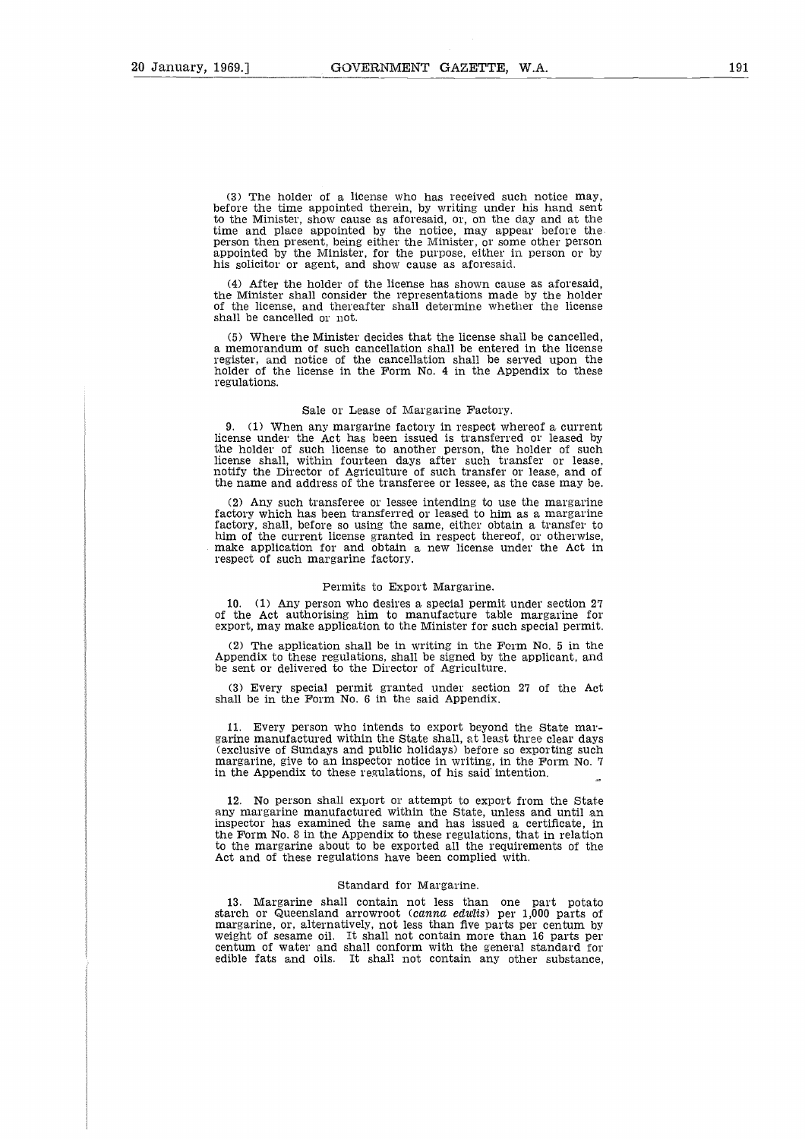(3) The holder of a license who has received such notice may, before the time appointed therein, by writing under his hand sent to the Minister, show cause as aforesaid, or, on the day and at the time and place appointed by the notice, may appear before the person then present, being either the Minister, or some other person appointed by the Minister, for the purpose, either in person or by his solicitor or agent, and show cause as aforesaid.

(4) After the holder of the license has shown cause as aforesaid, the Minister shall consider the representations made by the holder of the license, and thereafter shall determine whether the license shall be cancelled or not.

(5) Where the Minister decides that the license shall be cancelled, a memorandum of such cancellation shall be entered in the license register, and notice of the cancellation shall be served upon the holder of the license in the Form No. 4 in the Appendix to these regulations.

#### Sale or Lease of Margarine Factory.

9. (1) When any margarine factory in respect whereof a current license under the Act has been issued is transferred or leased by the holder of such license to another person, the holder of such license shall, within fourteen days after such transfer or lease, notify the Director of Agriculture of such transfer or lease, and of the name and address of the transferee or lessee, as the case may be.

(2) Any such transferee or lessee intending to use the margarine factory which has been transferred or leased to him as a margarine factory, shall, before so using the same, either obtain a transfer to him of the current license granted in respect thereof, or otherwise make application for and obtain a new license under the Act in respect of such margarine factory.

#### Permits to Export Margarine.

10. (1) Any person who desires a special permit under section 27 of the Act authorising him to manufacture table margarine for export, may make application to the Minister for such special permit.

(2) The application shall be in writing in the Form No. 5 in the Appendix to these regulations, shall be signed by the applicant, and be sent or delivered to the Director of Agriculture.

(3) Every special permit granted under section 27 of the Act shall be in the Form No. 6 in the said Appendix.

11. Every person who intends to export beyond the State margarine manufactured within the State shall, at least three clear days (exclusive of Sundays and public holidays) before so exporting such margarine, give to an inspector notice in writing, in the Form No. 7 in the Appendix to these regulations, of his said' intention.

12. No person shall export or attempt to export from the State any margarine manufactured within the State, unless and until an inspector has examined the same and has issued a certificate, in the Form No. 8 in the Appendix to these regulations, that in relation to the margarine about to be exported all the requirements of the Act and of these regulations have been complied with.

#### Standard for Margarine.

13. Margarine shall contain not less than one part potato starch or Queensland arrowroot (canna edulis) per 1,000 parts of margarine, or, alternatively, not less than five parts per centum by weight of sesame oil. It shall not contain more than 16 parts per centum of water and shall conform with the general standard for edible fats and oils. It shall not contain any other substance,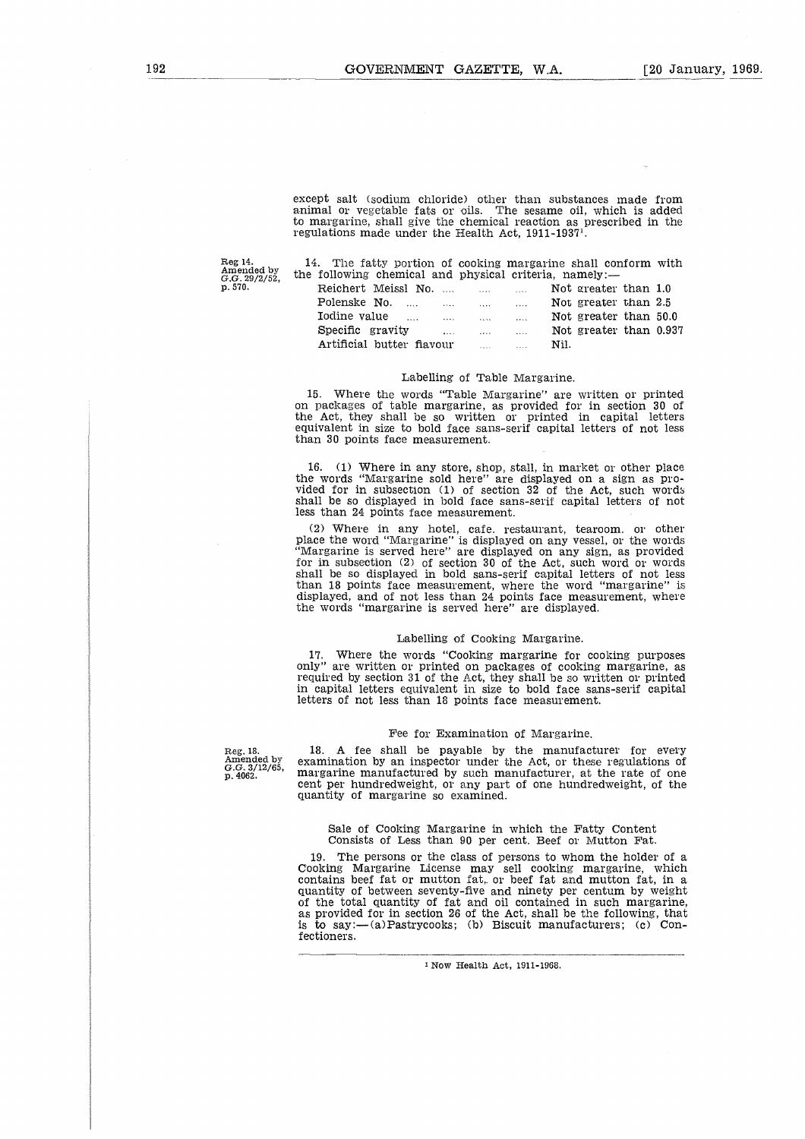Reg 14. Amended by *G.G.* 29/2/52, p. 570.

| ept salt (sodium chloride) other than substances made from<br>imal or vegetable fats or oils. The sesame oil, which is added<br>margarine, shall give the chemical reaction as prescribed in the<br>ulations made under the Health Act, 1911-1937 <sup>1</sup> . |  |      |                        |
|------------------------------------------------------------------------------------------------------------------------------------------------------------------------------------------------------------------------------------------------------------------|--|------|------------------------|
| $14.$ The fatty portion of cooking margarine shall conform with<br>e following chemical and physical criteria, namely:—                                                                                                                                          |  |      |                        |
| Reichert Meissl No.    Not greater than 1.0                                                                                                                                                                                                                      |  |      |                        |
| Polenske No.                                                                                                                                                                                                                                                     |  |      | Not greater than 2.5   |
| Iodine value in the same in the same of the same in the same of the same in the same of the same in the same o                                                                                                                                                   |  |      | Not greater than 50.0  |
| Specific gravity                                                                                                                                                                                                                                                 |  |      | Not greater than 0.937 |
| Artificial butter fiavour and the summer                                                                                                                                                                                                                         |  | Nil. |                        |
| Labelling of Table Margarine.                                                                                                                                                                                                                                    |  |      |                        |

## Labelling of Table Margarine.

15. Where the words "Table Margarine" are written or printed on packages of table margarine, as provided for in section 30 of the Act, they shall be so written or printed in capital letters equivalent in size to bold face sans-serif capital letters of not less than 30 points face measurement.

16. (1) Where in any store, shop, stall, in market or other place the words "Margarine sold here" are displayed on a sign as provided for in subsection (1) of section 32 of the Act, such words shall be so displayed in bold face sans-serif capital letters of not less than 24 points face measurement.

(2) Where in any hotel, cafe, restaurant, tearoom, or other place the word "Margarine" is displayed on any vessel, or the words "Margarine is served here" are displayed on any sign, as provided for in subsection (2) of section 30 of the Act, such word or words shall be so displayed in bold sans-serif capital letters of not less than 18 points face measurement, where the word "margarine" is displayed, and of not less than 24 points face measurement, where the words "margarine is served here" are displayed.

#### Labelling of Cooking Margarine.

17. Where the words "Cooking margarine for cooking purposes only" are written or printed on packages of cooking margarine, as required by section 31 of the Act, they shall be so written or printed in capital letters equivalent in size to bold face sans-serif capital letters of not less than 18 points face measurement.

#### Fee for Examination of Margarine.

Reg. 18. Amended by G.G. 3/12/65, p. 4062.

18. A fee shall be payable by the manufacturer for every examination by an inspector under the Act, or these regulations of margarine manufactured by such manufacturer, at the rate of one cent per hundredweight, or any part of one hundredweight, of the quantity of margarine so examined.

Sale of Cooking Margarine in which the Fatty Content Consists of Less than 90 per cent, Beef or Mutton Fat.

19. The persons or the class of persons to whom the holder of a Cooking Margarine License may sell cooking margarine, which contains beef fat or mutton fat, or beef fat and mutton fat, in a quantity of between seventy-five and ninety per centum by weight of the total quantity of fat and oil contained in such margarine, as provided for in section 26 of the Act, shall be the following, that is to say:—(a)Pastrycooks; (b) Biscuit manufacturers; (c) Confectioners.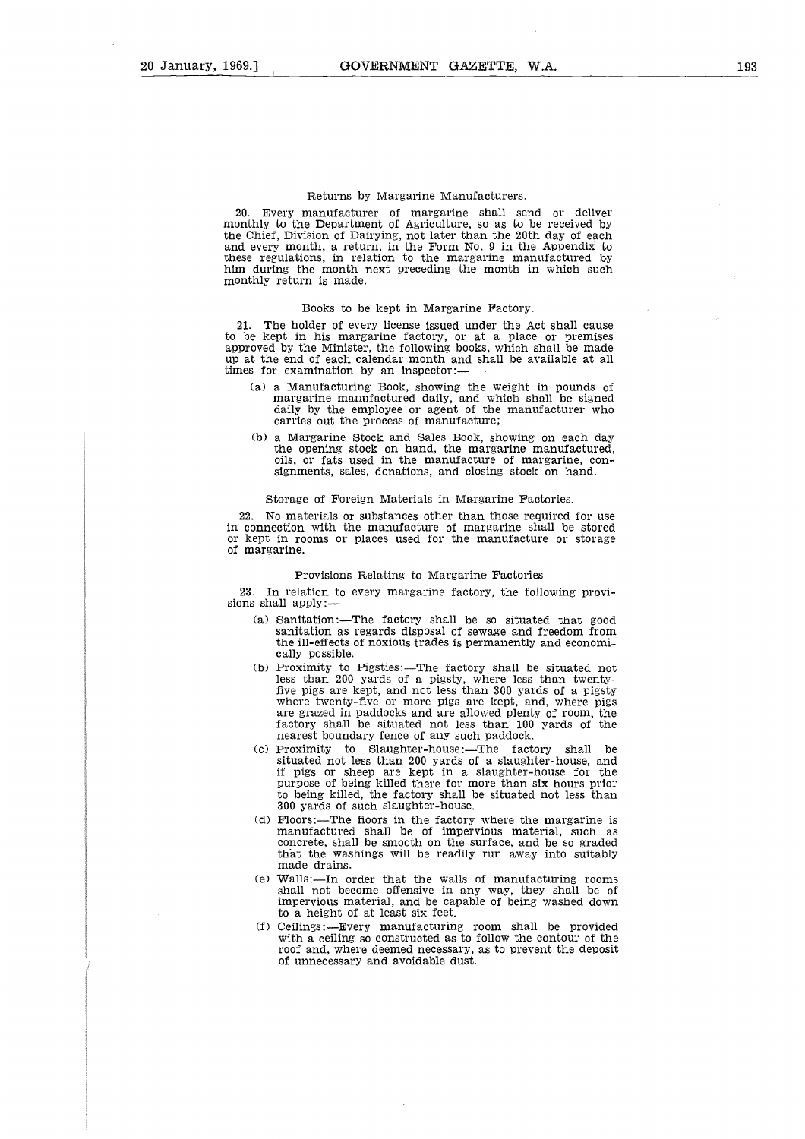#### Returns by Margarine Manufacturers.

20. Every manufacturer of margarine shall send or deliver monthly to the Department of Agriculture, so as to be received by the Chief, Division of Dairying, not later than the 20th day of each and every month, a return, in the Form No. 9 in the Appendix to these regulations, in relation to the margarine manufactured by him during the month next preceding the month in which such monthly return is made.

#### Books to be kept in Margarine Factory.

21. The holder of every license issued under the Act shall cause to be kept in his margarine factory, or at a place or premises approved by the Minister, the following books, which shall be made up at the end of each calendar month and shall be available at all times for examination by an inspector:

- a) a Manufacturing Book, showing the weight in pounds of margarine manufactured daily, and which shall be signed daily by the employee or agent of the manufacturer who carries out the process of manufacture;
- (b) a Margarine Stock and Sales Book, showing on each day the opening stock on hand, the margarine manufactured, oils, or fats used in the manufacture of margarine, consignments, sales, donations, and closing stock on hand.

#### Storage of Foreign Materials in Margarine Factories.

22. No materials or substances other than those required for use in connection with the manufacture of margarine shall be stored or kept in rooms or places used for the manufacture or storage of margarine.

#### Provisions Relating to Margarine Factories.

23. In relation to every margarine factory, the following provisions shall apply:

- (a) Sanitation:—The factory shall be so situated that good sanitation as regards disposal of sewage and freedom from the ill-effects of noxious trades is permanently and economically possible.
- (b) Proximity to Pigsties:—The factory shall be situated not less than 200 yards of a pigsty, where less than twenty -flve pigs are kept, and not less than 300 yards of a pigsty where twenty-five or more pigs are kept, and, where pigs are grazed in paddocks and are allowed plenty of room, the factory shall be situated not less than 100 yards of the nearest boundary fence of any such paddock.
- $(c)$  Proximity to Slaughter-house:-The factory shall be situated not less than 200 yards of a slaughter-house, and if pigs or sheep are kept in a slaughter-house for the purpose of being killed there for more than six hours prior to being killed, the factory shall be situated not less than 300 yards of such slaughter-house.
- (d) Floors:—The floors in the factory where the margarine is manufactured shall be of impervious material, such as concrete, shall be smooth on the surface, and be so graded that the washings will be readily run away into suitably made drains.
- (e) Walls:—In order that the walls of manufacturing rooms shall not become offensive in any way, they shall be of impervious material, and be capable of being washed down to a height of at least six feet.
- (f) Ceilings:—Every manufacturing room shall be provided with a ceiling so constructed as to follow the contour of the roof and, where deemed necessary, as to prevent the deposit of unnecessary and avoidable dust.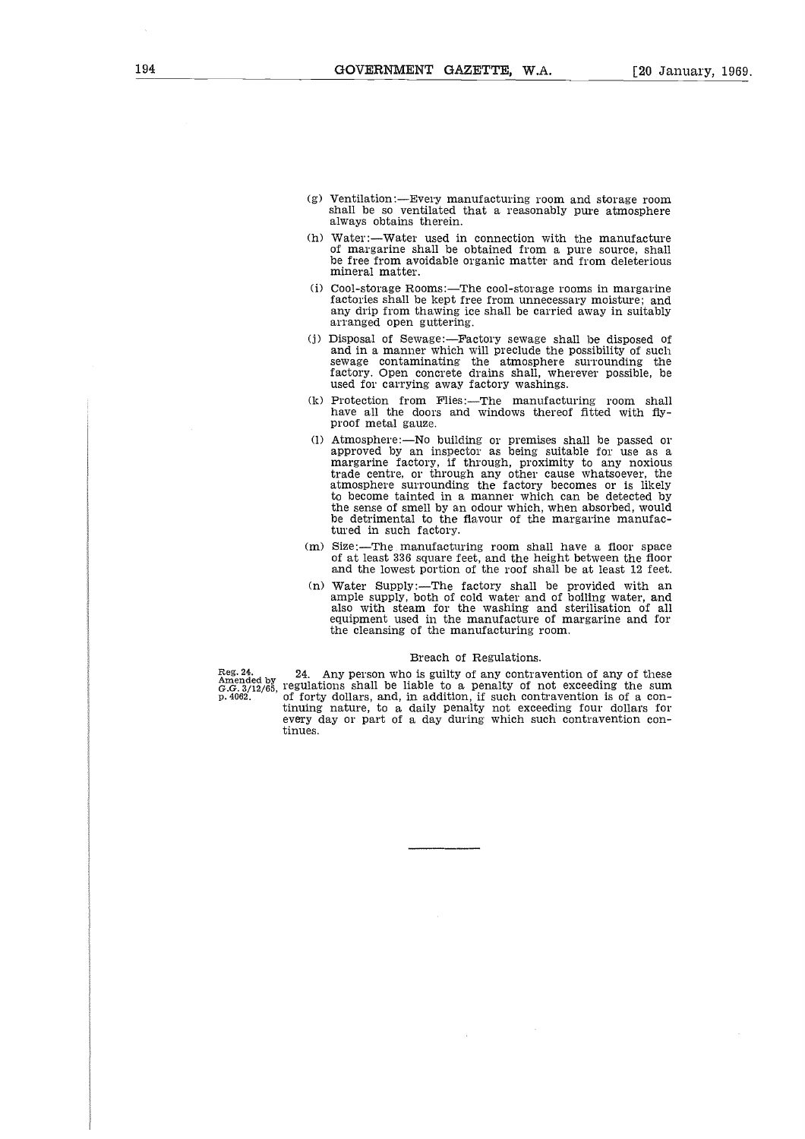- (g) Ventilation:—Every manufacturing room and storage room shall be so ventilated that a reasonably pure atmosphere always obtains therein.
- (h) Water:—Water used in connection with the manufacture of margarine shall be obtained from a pure source, shall be free from avoidable organic matter and from deleterious mineral matter.
- (i) Cool-storage Rooms:—The cool-storage rooms in margarine factories shall be kept free from unnecessary moisture; and any drip from thawing ice shall be carried away in suitably arranged open guttering.
- (j) Disposal of Sewage:—Factory sewage shall be disposed of and in a manner which will preclude the possibility of such sewage contaminating the atmosphere surrounding the factory. Open concrete drains shall, wherever possible, be used for carrying away factory washings.
- (k) Protection from Flies:—The manufacturing room shall have all the doors and windows thereof fitted with fly-proof metal gauze.
- (1) Atmosphere:—No building or premises shall be passed or approved by an inspector as being suitable for use as a margarine factory, if through, proximity to any noxious trade centre, or through any other cause whatsoever, the atmosphere surrounding the factory becomes or is likely to become tainted in a manner which can be detected by the sense of smell by an odour which, when absorbed, would be detrimental to the flavour of the margarine manufactured in such factory.
- (m) Size:—The manufacturing room shall have a floor space of at least 336 square feet, and the height between the floor and the lowest portion of the roof shall be at least 12 feet.
- (n) Water Supply:—The factory shall be provided with an ample supply, both of cold water and of boiling water, and also with steam for the washing and sterilisation of all equipment used in the manufacture of margarine and for the cleansing of the manufacturing room.

#### Breach of Regulations.

Reg. 24. 24. Any person who is guilty of any contravention of any of these Amended by 24. Any person who is guilty of any contravention of any of these  $G.3/12/65$ , regulations shall be liable to a penalty of not exceeding of forty dollars, and, in addition, if such contravention is of a con-tinuing nature, to a daily penalty not exceeding four dollars for every day or part of a day during which such contravention continues.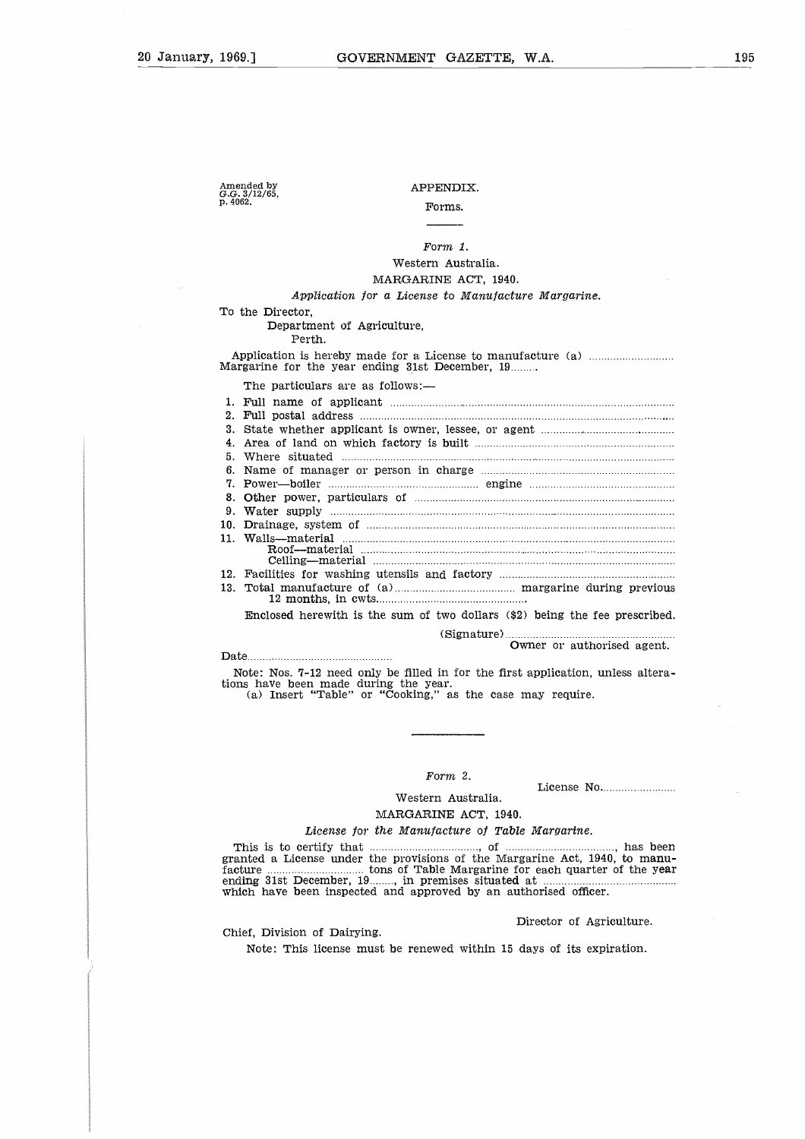Amended by *G.G.* 3/12/65, p. 4062.

## APPENDIX.

## Forms.

## Western Australia. MARGARINE ACT, 1940.

## *Application for a License to Manufacture Margarine.*

Application is hereby made for a License to manufacture (a)<br>Margarine for the year ending 31st December, 19........ 0.<br>*ta*<br>.. 26<br>..

| Form 1.                                                                                                                                                                                |
|----------------------------------------------------------------------------------------------------------------------------------------------------------------------------------------|
| Western Australia.                                                                                                                                                                     |
|                                                                                                                                                                                        |
| MARGARINE ACT, 1940.                                                                                                                                                                   |
| Application for a License to Manufacture Margarine.                                                                                                                                    |
| To the Director,<br>Department of Agriculture,<br>Perth.                                                                                                                               |
|                                                                                                                                                                                        |
| Margarine for the year ending 31st December, 19                                                                                                                                        |
| The particulars are as follows:-                                                                                                                                                       |
|                                                                                                                                                                                        |
| $2 -$                                                                                                                                                                                  |
| З.                                                                                                                                                                                     |
| 4.                                                                                                                                                                                     |
| 5.                                                                                                                                                                                     |
| 6.                                                                                                                                                                                     |
| 7.                                                                                                                                                                                     |
| 8.                                                                                                                                                                                     |
| 9.                                                                                                                                                                                     |
| 10.                                                                                                                                                                                    |
|                                                                                                                                                                                        |
|                                                                                                                                                                                        |
|                                                                                                                                                                                        |
|                                                                                                                                                                                        |
| 13.                                                                                                                                                                                    |
| Enclosed herewith is the sum of two dollars (\$2) being the fee prescribed.                                                                                                            |
|                                                                                                                                                                                        |
| Owner or authorised agent.                                                                                                                                                             |
|                                                                                                                                                                                        |
| Note: Nos. 7-12 need only be filled in for the first application, unless altera-<br>tions have been made during the year.<br>(a) Insert "Table" or "Cooking," as the case may require. |

tions have been made during the year. (a) Insert "Table" or "Cooking," as the case may require. Note: Nos. 7-12 need only be filled in for the first application, unless altera being the recommunity<br>present or author<br>pplication, us<br>y require.<br>License No.<br>*Largarine*.

*Form 2.*

## MARGARINE ACT, 1940. Western Australia.

#### *License for the Manufacture of Table Margarine.*

This is to certify that<br>
interesting the part of "Cooking," as the case may require.<br>
This is to certify that<br>  $\begin{array}{ccc}\n & & \\
 \hline\n & & \\
 \hline\n & & \\
 \hline\n\end{array}$  MARGARINE ACT, 1940.<br>
This is to certify that<br>  $\begin{array}{ccc}\n \text{License for the Manufacture of Table Margarine$ granted a License under the provisions of the Margarine Act, 1940, to manufacture tons of Table Margarine for each quarter of the year ending 31st December, 19 which have been inspected and approved by an authorised officer. Form 2.<br>
Western Australia.<br>
MARGARINE ACT, 1940.<br>
the Manufacture of Table Ma<br>
the provisions of the Margarin<br>
tons of Table Margarine for ea<br>
......., in premises situated at ...<br>
d and approved by an authori:<br>
Direct

#### Director of Agriculture.

Chief, Division of Dairying.

Note: This license must be renewed within 15 days of its expiration.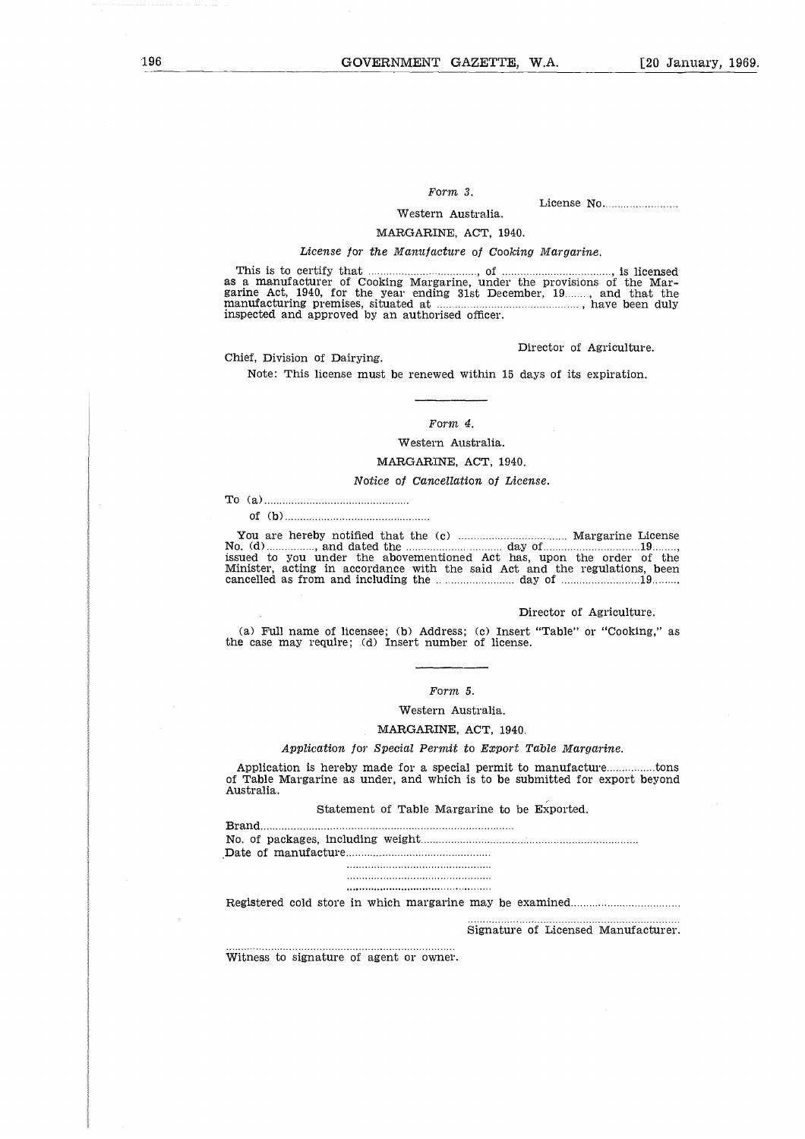## *Form 3.*

T.A.<br>License No.

## Western Australia.

## MARGARINE, ACT, 1940.

## *License for the Manufacture of Cooking Margarine.*

Form 3.<br>
Western Australia.<br>
MARGARINE, ACT, 1940.<br>
License for the Manufacture of Cooking Margarine.<br>
This is to certify that *manufacture* of Cooking Margarine, under the provisions of the Mar-<br>
rine Act, 1940, for the as a manufacturer of Cooking Margarine, under the provisions of the Mar-Form 3.<br>
Western Australia.<br>
MARGARINE, ACT, 1940.<br>
License for the Manufacture of Cooking Margarine.<br>
This is to certify that<br>
as a manufacture of Cooking Margarine, under the provisions of the Mar-<br>
garine Act, 1940, for manufacturing premises, situated at , have been duly manufacturing premises, situated at  $\frac{1}{2}$  inspected and approved by an authorised officer.

Director of Agriculture.

Chief, Division of Dairying.

Note: This license must be renewed within 15 days of its expiration.

#### *Form 4.*

#### Western Australia.

## MARGARINE, ACT, 1940.

#### *Notice of Cancellation of License.*

To (a) 0<br>3d<br>..<br>a

of (b)

You are hereby notified that the (c) s<br>  $\frac{1}{1}$ <br>  $\therefore$ <br>  $\frac{1}{1}$ <br>  $\therefore$  Margarine License No. (d) issued to you under the abovementioned Act has, upon the order of the Minister, acting in accordance with the said Act and the regulations, been cancelled as from and including the measurement of the regulations, been , and dated the day of 19  $\begin{tabular}{ll} \hline & \multicolumn{3}{l}{{Form 4}}.\quad \\ & \multicolumn{3}{l}{\begin{tabular}{l} \multicolumn{3}{l}{{\begin{tabular}{l} \multicolumn{3}{l}{{\begin{tabular}{l} \multicolumn{3}{l}{{\begin{tabular}{l} \multicolumn{3}{l}{{\include{}}{}} \multicolumn{3}{l}{{\include{}}{}} \multicolumn{3}{l}{\end{tabular}}} \hline & \multicolumn{3}{l}{\begin{tabular}{l} {\bf{A}}\end{tabular}} & \multicolumn{3}{l}{\begin{tabular}{l} {\bf{A}}\end{tabular}} & \multicolumn{3}{l}{\$ 

#### Director of Agriculture.

(a) Full name of licensee; (b) Address; (c) Insert "Table" or "Cooking," as the case may require; (d) Insert number of license.

#### *Form 5.*

Western Australia.

#### MARGARINE, ACT, 1940.

## *Application for Special Permit to Export Table Margarine.*

Director of Agriculture.<br>
(a) Full name of licensee; (b) Address; (c) Insert "Table" or "Cooking," as<br>
e case may require; (d) Insert number of license.<br>
<br>
Form 5.<br>
Western Australia.<br>
MARGARINE, ACT, 1940.<br>
Application fo of Table Margarine as under, and which is to be submitted for export beyond Australia.

Statement of Table Margarine to be Exported.

||<br>|1<br>|<br>|1 b<br>|<br>| n<br>| ... *ີເ*<br>ຂໍ້<br>...<br>.. Brand No. of packages, including weight Date of manufacture 

Registered cold store in which margarine may be examined

#### Signature of Licensed Manufacturer.

Witness to signature of agent or owner.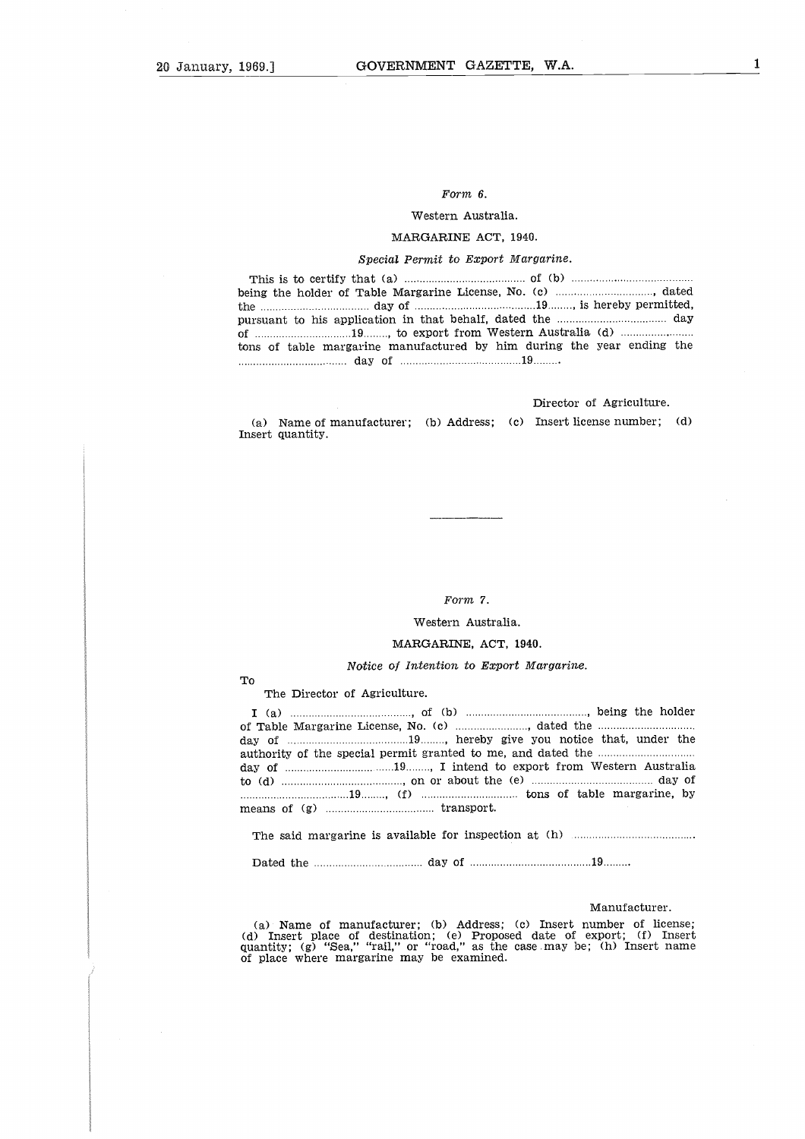## Form *6.*

## Western Australia.

## MARGARINE ACT, 1940.

## *Special Permit to Export Margarine.*

| Form 6.<br>Western Australia.<br>MARGARINE ACT, 1940.<br>Special Permit to Export Margarine. |
|----------------------------------------------------------------------------------------------|
|                                                                                              |
|                                                                                              |
|                                                                                              |
|                                                                                              |
|                                                                                              |
|                                                                                              |
|                                                                                              |
|                                                                                              |
| tons of table margarine manufactured by him during the year ending the                       |
| Director of Agriculture.                                                                     |

Director of Agriculture.

(a) Name of manufacturer; (b) Address; (c) Insert license number; (d) Insert quantity.

#### *Form 7.*

#### Western Australia.

## MARGARINE, ACT, 1940.

#### *Notice of Intention* to *Export Margarine.*

To

The Director of Agriculture.

Form 7.<br>
Western Australia.<br>
MARGARINE, ACT, 1940.<br>
Notice of Intention to Export Margarine.<br>
The Director of Agriculture.<br>
Table Margarine License, No. (c)<br>
Table Margarine License, No. (c)<br>
Table Margarine License, No. ( day of , hereby give you notice that, under the of Table Margarine License, No. (c) authority of the special permit granted to me, and dated the To The The  $I$  (a) of Table day of  $I$  authority day of  $I$  authority day of  $I$  authorities on the means of  $I$  and  $I$  are  $I$  and  $I$  are  $I$  and  $I$  are  $I$  and  $I$  are  $I$  and  $I$  are  $I$  and  $I$  are  $I$  and  $I$  and MA<br> *f P*<br>
ultu<br>
..., P<br>
..., T<br>
..., T<br>
..., T<br>
..., T<br>
..., T<br>
..., T  $W_1$ <br> $R$  and  $R$ <br> $R$  are  $R$ ,  $R$  or  $R$ <br> $R$  and  $R$ <br> $R$  and  $R$ <br> $\vdots$  and  $R$ <br> $\vdots$  and  $R$ <br> $\vdots$  and  $R$ , I intend to export from Western Australia , dated the b<br>...<br>...<br>... to (d)  $\ldots$  about the (e)  $\ldots$  day of  $\ldots$  day of  $\ldots$  day of  $\ldots$  day of  $\ldots$  day of  $\ldots$  day of  $\ldots$  day of  $\ldots$  day of  $\ldots$  day of  $\ldots$  day of  $\ldots$  day of  $\ldots$  day of  $\ldots$  day of  $\ldots$  day of  $\ldots$  day of TI<br>coda<br>dad<br>... Western Australia.<br>
MARGARINE, ACT, 1940.<br>
Notice of Intention to Export Margarine.<br>
<br>
Director of Agriculture.<br>
(of the Margarine License, No. (c) (a) and the difference of the special permit granted to me, and dated the <sup>19</sup> , (f) tons of table margarine, by  $\begin{tabular}{llllllllll} \multicolumn{2}{l}{{\bf MACGARINE, AC}}\\ \hline \multicolumn{2}{l}{\bf To} & \multicolumn{2}{l}{\bf The Director of Agriculture.} \\ \hline \multicolumn{2}{l}{\bf I} & (a) & \multicolumn{2}{l}{\bf Inorder.} \\ \hline \multicolumn{2}{l}{\bf I} & (b) & \multicolumn{2}{l}{\bf Inorder.} \\ \hline \multicolumn{2}{l}{\bf I} & (c) & \multicolumn{2}{l}{\bf Inorder.} \\ \hline \multicolumn{2}{l}{\bf day of} & \multicolumn{2}{l}{\bf Inorder.} \\ \hline \multicolumn{$  day of 19 .

The said margarine is available for inspection at (h)

Dated the

#### Manufacturer.

(a) Name of manufacturer; (b) Address; (e) Insert number of license; (d) Insert place of destination; (e) Proposed date of export; (f) Insert quantity; (g) "Sea," "rail," or "road," as the case may be; (h) Insert name of place where margarine may be examined.